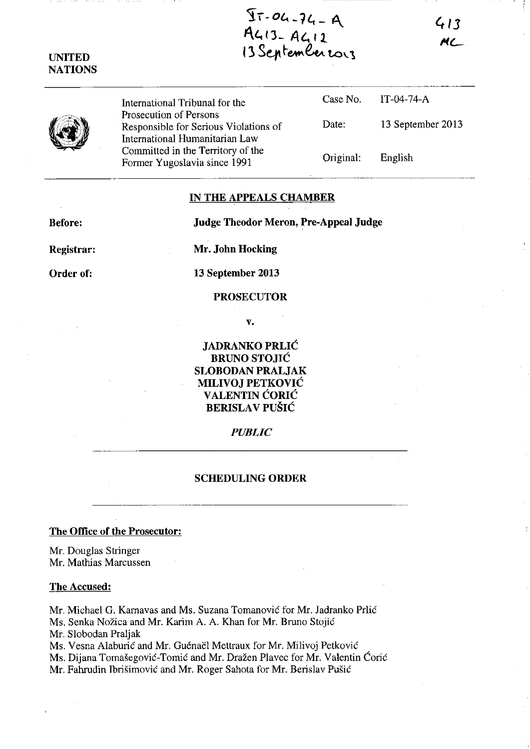$\overline{11} - 04 - 74 - 9$ *A.l,* **n- At. <sup>11</sup>** I ~ **34'** ~~~ **to\.1** 

**413**  *i'lL* 

International Tribunal for the Prosecution of Persons Responsible for Serious Violations of International Humanitarian Law Committed in the Territory of the Former Yugoslavia since 1991

| Case No.  | IT-04-74-A        |  |
|-----------|-------------------|--|
| Date:     | 13 September 2013 |  |
| Original: | English           |  |

## **IN THE APPEALS CHAMBER**

**Before: Judge Theodor Meron, Pre-Appeal Judge** 

**Registrar:** 

**Mr. John Hocking** 

**Order of:** 

**13 September 2013** 

# **PROSECUTOR**

**v.** 

**JADRANKO PRLIC BRUNO STOJIC SLOBODAN PRALJAK MILIVOJ PETKOVIC VALENTIN CORIC BERISLA V PUSIC** 

## *PUBLIC*

## **SCHEDULING ORDER**

# **The Office of the Prosecutor:**

Mr. Douglas Stringer Mr. Mathias Marcussen

## **The Accused:**

Mr. Michael G. Karnavas and Ms. Suzana Tomanovie for Mr. ladranko Prlie Ms. Senka Nozica and Mr. Karim A. A. Khan for Mr. Bruno Stojie Mr. Slobodan Praljak Ms. Vesna Alaburić and Mr. Guénaël Mettraux for Mr. Milivoj Petković

Ms. Dijana Tomašegović-Tomić and Mr. Dražen Plavec for Mr. Valentin Ćorić

Mr. Fahrudin Ibrišimović and Mr. Roger Sahota for Mr. Berislav Pušić

**UNITED NATIONS**